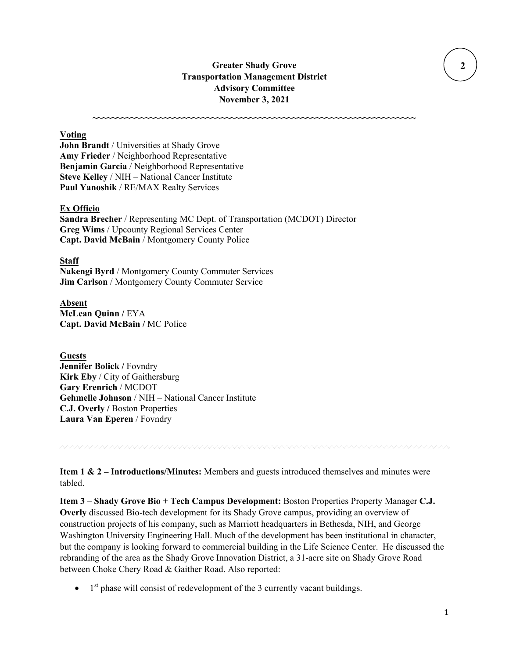# **Greater Shady Grove Transportation Management District Advisory Committee November 3, 2021**

**~~~~~~~~~~~~~~~~~~~~~~~~~~~~~~~~~~~~~~~~~~~~~~~~~~~~~~~~~~~~~~~~~~~~**

## **Voting**

**John Brandt** / Universities at Shady Grove **Amy Frieder** / Neighborhood Representative **Benjamin Garcia** / Neighborhood Representative **Steve Kelley** / NIH – National Cancer Institute **Paul Yanoshik** / RE/MAX Realty Services

#### **Ex Officio**

**Sandra Brecher** / Representing MC Dept. of Transportation (MCDOT) Director **Greg Wims** / Upcounty Regional Services Center **Capt. David McBain** / Montgomery County Police

#### **Staff**

**Nakengi Byrd** / Montgomery County Commuter Services **Jim Carlson** / Montgomery County Commuter Service

**Absent McLean Quinn /** EYA **Capt. David McBain /** MC Police

## **Guests**

**Jennifer Bolick /** Fovndry **Kirk Eby** / City of Gaithersburg **Gary Erenrich** / MCDOT **Gehmelle Johnson** / NIH – National Cancer Institute **C.J. Overly /** Boston Properties **Laura Van Eperen** / Fovndry

**Item 1 & 2 – Introductions/Minutes:** Members and guests introduced themselves and minutes were tabled.

**Item 3 – Shady Grove Bio + Tech Campus Development:** Boston Properties Property Manager **C.J. Overly** discussed Bio-tech development for its Shady Grove campus, providing an overview of construction projects of his company, such as Marriott headquarters in Bethesda, NIH, and George Washington University Engineering Hall. Much of the development has been institutional in character, but the company is looking forward to commercial building in the Life Science Center. He discussed the rebranding of the area as the Shady Grove Innovation District, a 31-acre site on Shady Grove Road between Choke Chery Road & Gaither Road. Also reported:

 $\bullet$  1<sup>st</sup> phase will consist of redevelopment of the 3 currently vacant buildings.

 **2**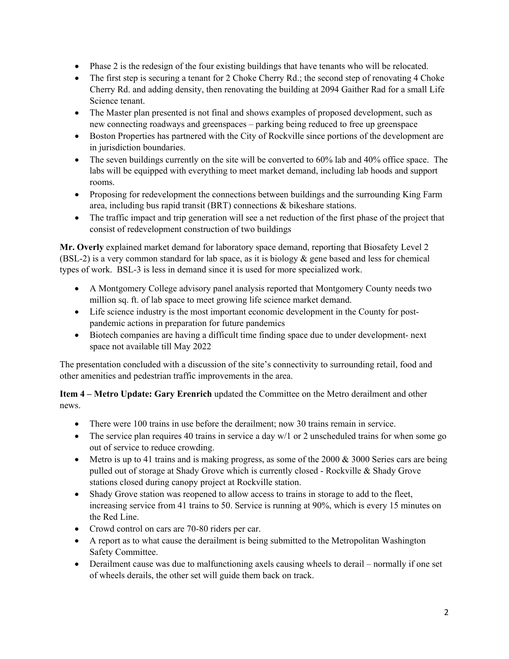- Phase 2 is the redesign of the four existing buildings that have tenants who will be relocated.
- The first step is securing a tenant for 2 Choke Cherry Rd.; the second step of renovating 4 Choke Cherry Rd. and adding density, then renovating the building at 2094 Gaither Rad for a small Life Science tenant.
- The Master plan presented is not final and shows examples of proposed development, such as new connecting roadways and greenspaces – parking being reduced to free up greenspace
- Boston Properties has partnered with the City of Rockville since portions of the development are in jurisdiction boundaries.
- The seven buildings currently on the site will be converted to 60% lab and 40% office space. The labs will be equipped with everything to meet market demand, including lab hoods and support rooms.
- Proposing for redevelopment the connections between buildings and the surrounding King Farm area, including bus rapid transit (BRT) connections & bikeshare stations.
- The traffic impact and trip generation will see a net reduction of the first phase of the project that consist of redevelopment construction of two buildings

**Mr. Overly** explained market demand for laboratory space demand, reporting that Biosafety Level 2 (BSL-2) is a very common standard for lab space, as it is biology  $\&$  gene based and less for chemical types of work. BSL-3 is less in demand since it is used for more specialized work.

- A Montgomery College advisory panel analysis reported that Montgomery County needs two million sq. ft. of lab space to meet growing life science market demand.
- Life science industry is the most important economic development in the County for postpandemic actions in preparation for future pandemics
- Biotech companies are having a difficult time finding space due to under development- next space not available till May 2022

The presentation concluded with a discussion of the site's connectivity to surrounding retail, food and other amenities and pedestrian traffic improvements in the area.

**Item 4 – Metro Update: Gary Erenrich** updated the Committee on the Metro derailment and other news.

- There were 100 trains in use before the derailment; now 30 trains remain in service.
- The service plan requires 40 trains in service a day  $w/1$  or 2 unscheduled trains for when some go out of service to reduce crowding.
- Metro is up to 41 trains and is making progress, as some of the 2000  $\&$  3000 Series cars are being pulled out of storage at Shady Grove which is currently closed - Rockville & Shady Grove stations closed during canopy project at Rockville station.
- Shady Grove station was reopened to allow access to trains in storage to add to the fleet, increasing service from 41 trains to 50. Service is running at 90%, which is every 15 minutes on the Red Line.
- Crowd control on cars are 70-80 riders per car.
- A report as to what cause the derailment is being submitted to the Metropolitan Washington Safety Committee.
- Derailment cause was due to malfunctioning axels causing wheels to derail normally if one set of wheels derails, the other set will guide them back on track.